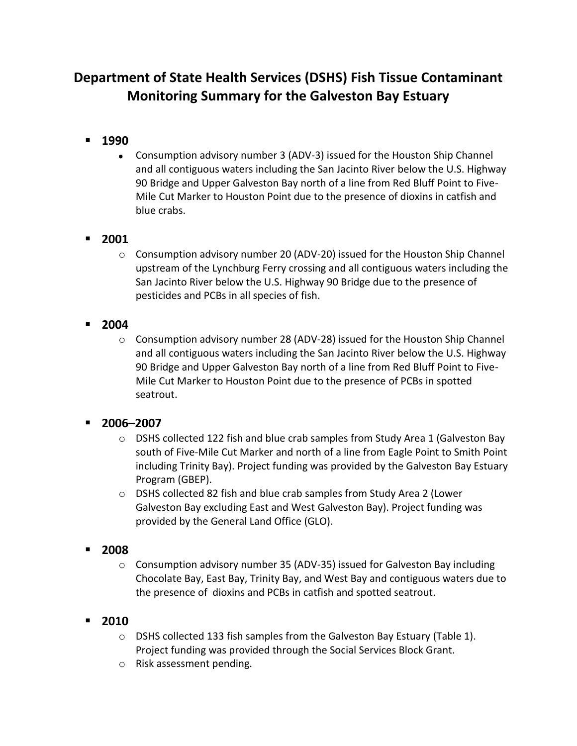# **Department of State Health Services (DSHS) Fish Tissue Contaminant Monitoring Summary for the Galveston Bay Estuary**

- **1990**
	- Consumption advisory number 3 (ADV-3) issued for the Houston Ship Channel and all contiguous waters including the San Jacinto River below the U.S. Highway 90 Bridge and Upper Galveston Bay north of a line from Red Bluff Point to Five-Mile Cut Marker to Houston Point due to the presence of dioxins in catfish and blue crabs.

# **2001**

- $\circ$  Consumption advisory number 20 (ADV-20) issued for the Houston Ship Channel upstream of the Lynchburg Ferry crossing and all contiguous waters including the San Jacinto River below the U.S. Highway 90 Bridge due to the presence of pesticides and PCBs in all species of fish.
- **2004**
	- $\circ$  Consumption advisory number 28 (ADV-28) issued for the Houston Ship Channel and all contiguous waters including the San Jacinto River below the U.S. Highway 90 Bridge and Upper Galveston Bay north of a line from Red Bluff Point to Five-Mile Cut Marker to Houston Point due to the presence of PCBs in spotted seatrout.

# **2006–2007**

- $\circ$  DSHS collected 122 fish and blue crab samples from Study Area 1 (Galveston Bay south of Five-Mile Cut Marker and north of a line from Eagle Point to Smith Point including Trinity Bay). Project funding was provided by the Galveston Bay Estuary Program (GBEP).
- o DSHS collected 82 fish and blue crab samples from Study Area 2 (Lower Galveston Bay excluding East and West Galveston Bay). Project funding was provided by the General Land Office (GLO).
- **2008**
	- $\circ$  Consumption advisory number 35 (ADV-35) issued for Galveston Bay including Chocolate Bay, East Bay, Trinity Bay, and West Bay and contiguous waters due to the presence of dioxins and PCBs in catfish and spotted seatrout.

# **2010**

- o DSHS collected 133 fish samples from the Galveston Bay Estuary (Table 1). Project funding was provided through the Social Services Block Grant.
- o Risk assessment pending.